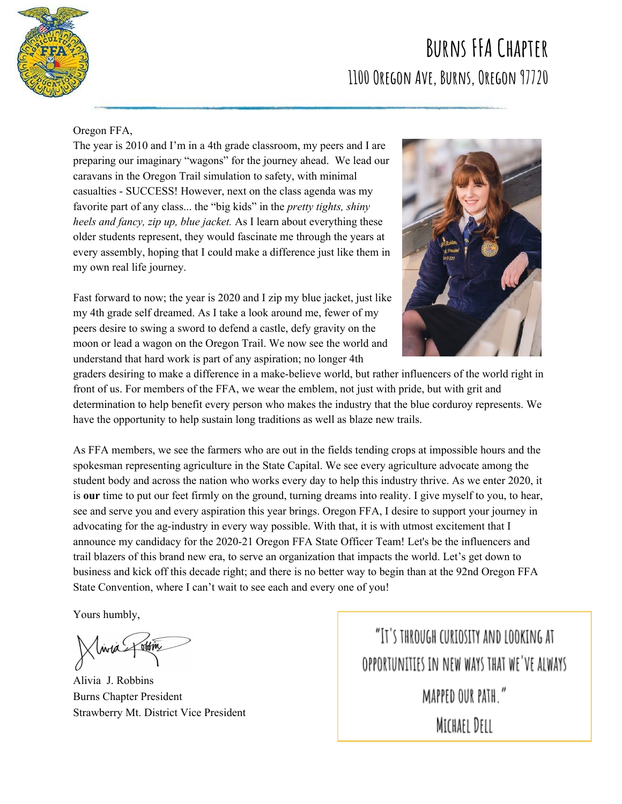

## **Burns FFA Chapter 1100 Oregon Ave, Burns, Oregon 97720**

## Oregon FFA,

The year is 2010 and I'm in a 4th grade classroom, my peers and I are preparing our imaginary "wagons" for the journey ahead. We lead our caravans in the Oregon Trail simulation to safety, with minimal casualties - SUCCESS! However, next on the class agenda was my favorite part of any class... the "big kids" in the *pretty tights, shiny heels and fancy, zip up, blue jacket.* As I learn about everything these older students represent, they would fascinate me through the years at every assembly, hoping that I could make a difference just like them in my own real life journey.

Fast forward to now; the year is 2020 and I zip my blue jacket, just like my 4th grade self dreamed. As I take a look around me, fewer of my peers desire to swing a sword to defend a castle, defy gravity on the moon or lead a wagon on the Oregon Trail. We now see the world and understand that hard work is part of any aspiration; no longer 4th



graders desiring to make a difference in a make-believe world, but rather influencers of the world right in front of us. For members of the FFA, we wear the emblem, not just with pride, but with grit and determination to help benefit every person who makes the industry that the blue corduroy represents. We have the opportunity to help sustain long traditions as well as blaze new trails.

As FFA members, we see the farmers who are out in the fields tending crops at impossible hours and the spokesman representing agriculture in the State Capital. We see every agriculture advocate among the student body and across the nation who works every day to help this industry thrive. As we enter 2020, it is **our** time to put our feet firmly on the ground, turning dreams into reality. I give myself to you, to hear, see and serve you and every aspiration this year brings. Oregon FFA, I desire to support your journey in advocating for the ag-industry in every way possible. With that, it is with utmost excitement that I announce my candidacy for the 2020-21 Oregon FFA State Officer Team! Let's be the influencers and trail blazers of this brand new era, to serve an organization that impacts the world. Let's get down to business and kick off this decade right; and there is no better way to begin than at the 92nd Oregon FFA State Convention, where I can't wait to see each and every one of you!

Yours humbly,

Inia Jum

Alivia J. Robbins Burns Chapter President Strawberry Mt. District Vice President

"IT'S THROUGH CURIOSITY AND LOOKING AT OPPORTUNITIES IN NEW WAYS THAT WE'VE ALWAYS MAPPED OUR PATH." MICHAEL DELL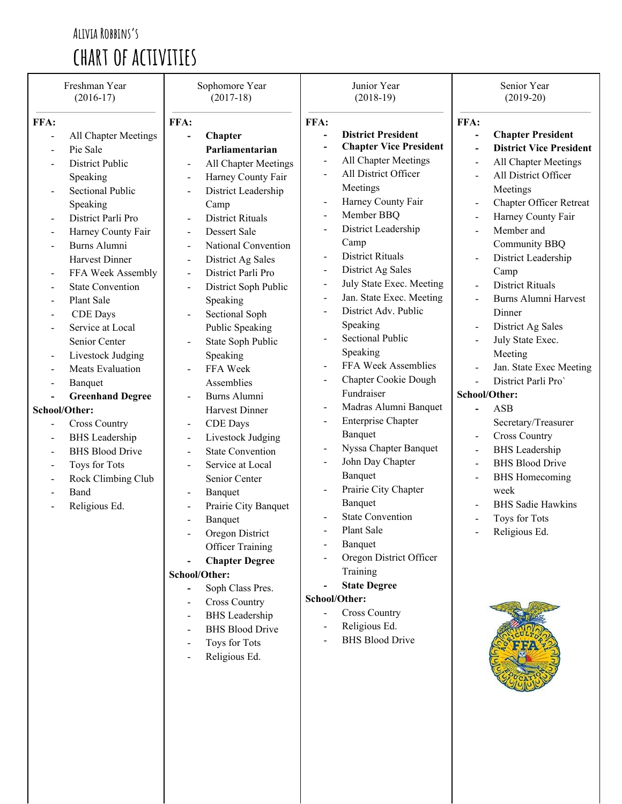## **Alivia Robbins's chart of activities**

|                          | Freshman Year<br>$(2016-17)$       |                          | Sophomore Year<br>$(2017-18)$           |                          | Junior Year<br>$(2018-19)$    |                | Senior Year<br>$(2019-20)$     |  |
|--------------------------|------------------------------------|--------------------------|-----------------------------------------|--------------------------|-------------------------------|----------------|--------------------------------|--|
| FFA:                     |                                    | FFA:                     |                                         | FFA:                     |                               | FFA:           |                                |  |
|                          | All Chapter Meetings               |                          | Chapter                                 |                          | <b>District President</b>     | $\overline{a}$ | <b>Chapter President</b>       |  |
|                          | Pie Sale                           |                          | Parliamentarian                         | $\overline{\phantom{0}}$ | <b>Chapter Vice President</b> | $\overline{a}$ | <b>District Vice President</b> |  |
|                          | <b>District Public</b>             |                          | All Chapter Meetings                    | $\blacksquare$           | All Chapter Meetings          | $\overline{a}$ | All Chapter Meetings           |  |
|                          | Speaking                           | $\blacksquare$           | Harney County Fair                      | $\blacksquare$           | All District Officer          | $\overline{a}$ | All District Officer           |  |
|                          | <b>Sectional Public</b>            |                          | District Leadership                     |                          | Meetings                      |                | Meetings                       |  |
|                          | Speaking                           |                          | Camp                                    | $\overline{a}$           | Harney County Fair            | $\overline{a}$ | <b>Chapter Officer Retreat</b> |  |
|                          | District Parli Pro                 |                          | <b>District Rituals</b>                 | $\overline{a}$           | Member BBQ                    | $\blacksquare$ | Harney County Fair             |  |
|                          |                                    |                          | Dessert Sale                            | $\blacksquare$           | District Leadership           | $\overline{a}$ | Member and                     |  |
| $\overline{a}$           | Harney County Fair<br>Burns Alumni | $\blacksquare$           | National Convention                     |                          | Camp                          |                | Community BBQ                  |  |
|                          | Harvest Dinner                     | $\blacksquare$           |                                         |                          | <b>District Rituals</b>       | $\overline{a}$ | District Leadership            |  |
|                          |                                    | $\blacksquare$           | District Ag Sales<br>District Parli Pro | $\blacksquare$           | District Ag Sales             |                | Camp                           |  |
|                          | FFA Week Assembly                  | $\blacksquare$           |                                         | $\blacksquare$           | July State Exec. Meeting      | $\overline{a}$ | <b>District Rituals</b>        |  |
| $\blacksquare$           | <b>State Convention</b>            |                          | District Soph Public                    | $\overline{\phantom{a}}$ | Jan. State Exec. Meeting      |                | Burns Alumni Harvest           |  |
| $\overline{a}$           | Plant Sale                         |                          | Speaking                                |                          | District Adv. Public          |                | Dinner                         |  |
|                          | <b>CDE</b> Days                    |                          | Sectional Soph                          |                          | Speaking                      | $\overline{a}$ | District Ag Sales              |  |
|                          | Service at Local                   |                          | <b>Public Speaking</b>                  |                          | <b>Sectional Public</b>       | $\overline{a}$ | July State Exec.               |  |
|                          | Senior Center                      |                          | State Soph Public                       |                          | Speaking                      |                |                                |  |
| $\overline{a}$           | Livestock Judging                  |                          | Speaking                                |                          | FFA Week Assemblies           |                | Meeting                        |  |
| $\blacksquare$           | <b>Meats Evaluation</b>            |                          | FFA Week                                | $\overline{a}$           | Chapter Cookie Dough          |                | Jan. State Exec Meeting        |  |
|                          | Banquet                            |                          | Assemblies                              |                          | Fundraiser                    |                | District Parli Pro'            |  |
|                          | <b>Greenhand Degree</b>            |                          | Burns Alumni                            | $\blacksquare$           | Madras Alumni Banquet         | School/Other:  |                                |  |
|                          | School/Other:                      |                          | Harvest Dinner                          |                          | <b>Enterprise Chapter</b>     | $\blacksquare$ | <b>ASB</b>                     |  |
| $\blacksquare$           | <b>Cross Country</b>               | $\blacksquare$           | <b>CDE</b> Days                         |                          |                               |                | Secretary/Treasurer            |  |
| $\blacksquare$           | <b>BHS</b> Leadership              | $\overline{\phantom{a}}$ | Livestock Judging                       |                          | Banquet                       | $\blacksquare$ | <b>Cross Country</b>           |  |
| $\overline{\phantom{a}}$ | <b>BHS Blood Drive</b>             | $\blacksquare$           | <b>State Convention</b>                 | $\overline{\phantom{a}}$ | Nyssa Chapter Banquet         | $\overline{a}$ | <b>BHS</b> Leadership          |  |
| $\blacksquare$           | Toys for Tots                      | $\blacksquare$           | Service at Local                        |                          | John Day Chapter              | $\overline{a}$ | <b>BHS Blood Drive</b>         |  |
| $\blacksquare$           | Rock Climbing Club                 |                          | Senior Center                           |                          | Banquet                       | $\blacksquare$ | <b>BHS</b> Homecoming          |  |
|                          | Band                               |                          | Banquet                                 |                          | Prairie City Chapter          |                | week                           |  |
|                          | Religious Ed.                      |                          | Prairie City Banquet                    |                          | Banquet                       |                | <b>BHS</b> Sadie Hawkins       |  |
|                          |                                    |                          | Banquet                                 |                          | <b>State Convention</b>       |                | Toys for Tots                  |  |
|                          |                                    |                          | Oregon District                         |                          | Plant Sale                    |                | Religious Ed.                  |  |
|                          |                                    |                          | <b>Officer Training</b>                 |                          | Banquet                       |                |                                |  |
|                          |                                    |                          | <b>Chapter Degree</b>                   |                          | Oregon District Officer       |                |                                |  |
|                          |                                    |                          | School/Other:                           |                          | Training                      |                |                                |  |
|                          |                                    |                          | Soph Class Pres.                        |                          | <b>State Degree</b>           |                |                                |  |
|                          |                                    |                          | <b>Cross Country</b>                    |                          | School/Other:                 |                |                                |  |
|                          |                                    |                          | <b>BHS</b> Leadership                   |                          | <b>Cross Country</b>          |                |                                |  |
|                          |                                    |                          | <b>BHS Blood Drive</b>                  |                          | Religious Ed.                 |                |                                |  |
|                          |                                    |                          | Toys for Tots                           |                          | <b>BHS Blood Drive</b>        |                |                                |  |
|                          |                                    |                          | Religious Ed.                           |                          |                               |                |                                |  |
|                          |                                    |                          |                                         |                          |                               |                |                                |  |
|                          |                                    |                          |                                         |                          |                               |                |                                |  |
|                          |                                    |                          |                                         |                          |                               |                |                                |  |
|                          |                                    |                          |                                         |                          |                               |                |                                |  |
|                          |                                    |                          |                                         |                          |                               |                |                                |  |
|                          |                                    |                          |                                         |                          |                               |                |                                |  |
|                          |                                    |                          |                                         |                          |                               |                |                                |  |